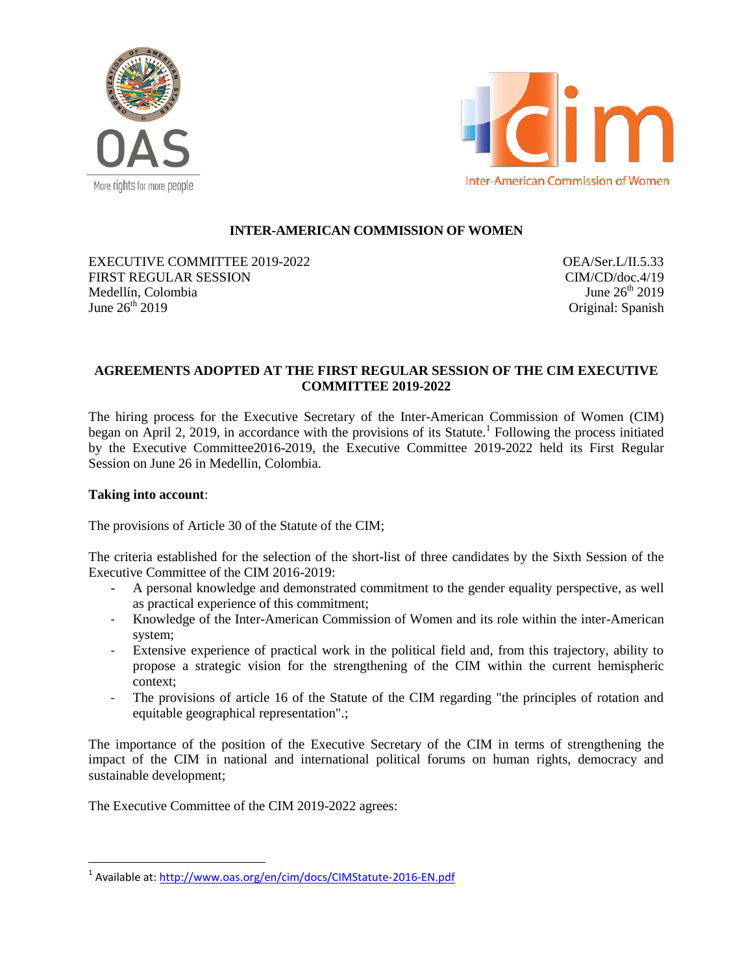



# **INTER-AMERICAN COMMISSION OF WOMEN**

EXECUTIVE COMMITTEE 2019-2022 FIRST REGULAR SESSION Medellín, Colombia June  $26^{th}$  2019

OEA/Ser.L/II.5.33 CIM/CD/doc.4/19 June  $26^{th}$  2019 Original: Spanish

## **AGREEMENTS ADOPTED AT THE FIRST REGULAR SESSION OF THE CIM EXECUTIVE COMMITTEE 2019-2022**

The hiring process for the Executive Secretary of the Inter-American Commission of Women (CIM) began on April 2, 2019, in accordance with the provisions of its Statute.<sup>1</sup> Following the process initiated by the Executive Committee2016-2019, the Executive Committee 2019-2022 held its First Regular Session on June 26 in Medellin, Colombia.

### **Taking into account**:

The provisions of Article 30 of the Statute of the CIM;

The criteria established for the selection of the short-list of three candidates by the Sixth Session of the Executive Committee of the CIM 2016-2019:

- A personal knowledge and demonstrated commitment to the gender equality perspective, as well as practical experience of this commitment;
- Knowledge of the Inter-American Commission of Women and its role within the inter-American system;
- Extensive experience of practical work in the political field and, from this trajectory, ability to propose a strategic vision for the strengthening of the CIM within the current hemispheric context;
- The provisions of article 16 of the Statute of the CIM regarding "the principles of rotation and equitable geographical representation".;

The importance of the position of the Executive Secretary of the CIM in terms of strengthening the impact of the CIM in national and international political forums on human rights, democracy and sustainable development;

The Executive Committee of the CIM 2019-2022 agrees:

 1 Available at:<http://www.oas.org/en/cim/docs/CIMStatute-2016-EN.pdf>